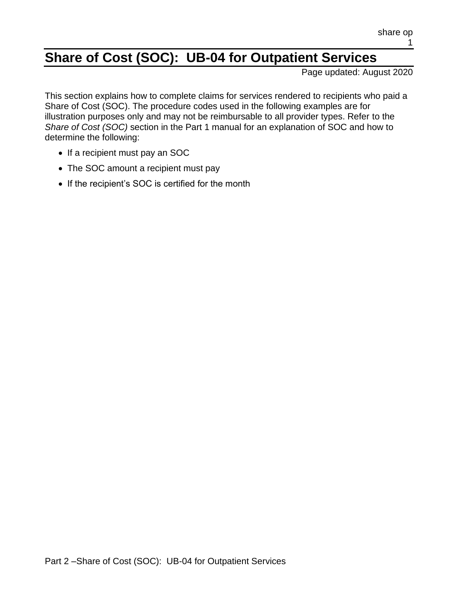# **Share of Cost (SOC): UB-04 for Outpatient Services**

Page updated: August 2020

This section explains how to complete claims for services rendered to recipients who paid a Share of Cost (SOC). The procedure codes used in the following examples are for illustration purposes only and may not be reimbursable to all provider types. Refer to the *Share of Cost (SOC)* section in the Part 1 manual for an explanation of SOC and how to determine the following:

- If a recipient must pay an SOC
- The SOC amount a recipient must pay
- If the recipient's SOC is certified for the month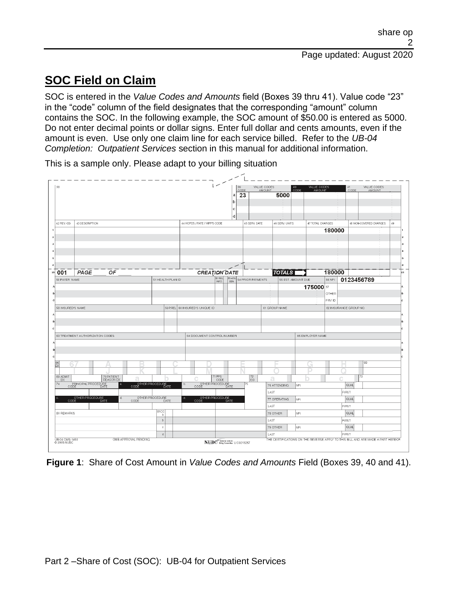## **SOC Field on Claim**

SOC is entered in the *Value Codes and Amounts* field (Boxes 39 thru 41). Value code "23" in the "code" column of the field designates that the corresponding "amount" column contains the SOC. In the following example, the SOC amount of \$50.00 is entered as 5000. Do not enter decimal points or dollar signs. Enter full dollar and cents amounts, even if the amount is even. Use only one claim line for each service billed. Refer to the *UB-04 Completion: Outpatient Services* section in this manual for additional information.

VALUE CODES VALUE CODES<br>AMOUNT  $\frac{\text{CODE}}{23}$ TINUOM 5000 42 REV. CD. 43 DESCRIPTION 44 HCPCS / RATE / HIPPS CODE 45 SERV. DATE 46 SERV. UNITS 47 TOTAL CHARGES 48 NON-COVERED CHARGES 180000  $\overline{001}$   $\overline{PAGE}$ **TOTALS** 180000  $OF$ **CREATION DATE** 0123456789 **PAYER NAME 1 HEALTH PLAN ID** 56 NPI T DLIE 175000 OTHER PRV ID **58 INSURED'S NAME SPEREL** 60 INSURED'S UNIQUE ID 61 GROUP NAME 62 INSURANCE GROUP NO 63 TREATMENT AUTHORIZATION CODES 64 DOCUMENT CONTROL NUMBER 65 EMPLOYER NAME 71 PPS HER PROCEDU 76 ATTENDING QUAL NP LAST **FIRST** OCEDURE QUAL 77 OPERATING LAST FIRST 80 REMARKS 78 OTHER NPI QUAL  $\mathfrak b$ LAST FIRST 79 OTHER  $QUAL$ NPI LAST FIRST  $\,$  d HE CERTIFICATIONS ON THE REVERSE APPLY TO THIS BILL AND ARE MADE A PART HEREOR **OMB APPROVAL PENDING** UB-04 CMS-1450<br>© 2005 NUBC NUBC<sup>"</sup> Rafonal Unitem<br>LIC9213257

This is a sample only. Please adapt to your billing situation

**Figure 1**: Share of Cost Amount in *Value Codes and Amounts* Field (Boxes 39, 40 and 41).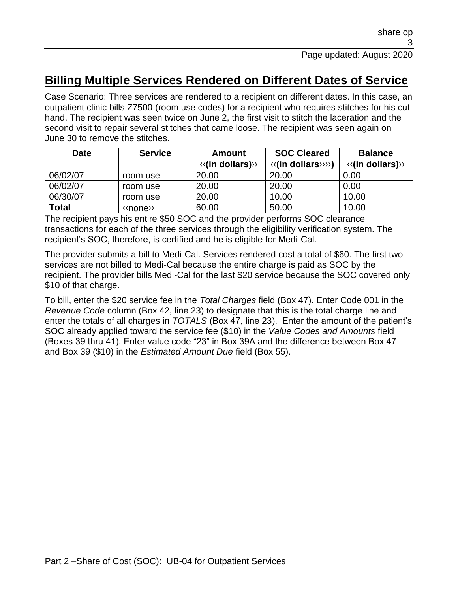### **Billing Multiple Services Rendered on Different Dates of Service**

Case Scenario: Three services are rendered to a recipient on different dates. In this case, an outpatient clinic bills Z7500 (room use codes) for a recipient who requires stitches for his cut hand. The recipient was seen twice on June 2, the first visit to stitch the laceration and the second visit to repair several stitches that came loose. The recipient was seen again on June 30 to remove the stitches.

| <b>Date</b>  | <b>Service</b>                                | Amount                                   | <b>SOC Cleared</b>                | <b>Balance</b>                           |  |
|--------------|-----------------------------------------------|------------------------------------------|-----------------------------------|------------------------------------------|--|
|              |                                               | $\langle \langle$ (in dollars) $\rangle$ | $\langle\langle$ (in dollars)>>>) | $\langle \langle$ (in dollars) $\rangle$ |  |
| 06/02/07     | room use                                      | 20.00                                    | 20.00                             | 0.00                                     |  |
| 06/02/07     | room use                                      | 20.00                                    | 20.00                             | 0.00                                     |  |
| 06/30/07     | room use                                      | 20.00                                    | 10.00                             | 10.00                                    |  |
| <b>Total</b> | $\langle \langle \text{none} \rangle \rangle$ | 60.00                                    | 50.00                             | 10.00                                    |  |

The recipient pays his entire \$50 SOC and the provider performs SOC clearance transactions for each of the three services through the eligibility verification system. The recipient's SOC, therefore, is certified and he is eligible for Medi-Cal.

The provider submits a bill to Medi-Cal. Services rendered cost a total of \$60. The first two services are not billed to Medi-Cal because the entire charge is paid as SOC by the recipient. The provider bills Medi-Cal for the last \$20 service because the SOC covered only \$10 of that charge.

To bill, enter the \$20 service fee in the *Total Charges* field (Box 47). Enter Code 001 in the *Revenue Code* column (Box 42, line 23) to designate that this is the total charge line and enter the totals of all charges in *TOTALS* (Box 47, line 23). Enter the amount of the patient's SOC already applied toward the service fee (\$10) in the *Value Codes and Amounts* field (Boxes 39 thru 41). Enter value code "23" in Box 39A and the difference between Box 47 and Box 39 (\$10) in the *Estimated Amount Due* field (Box 55).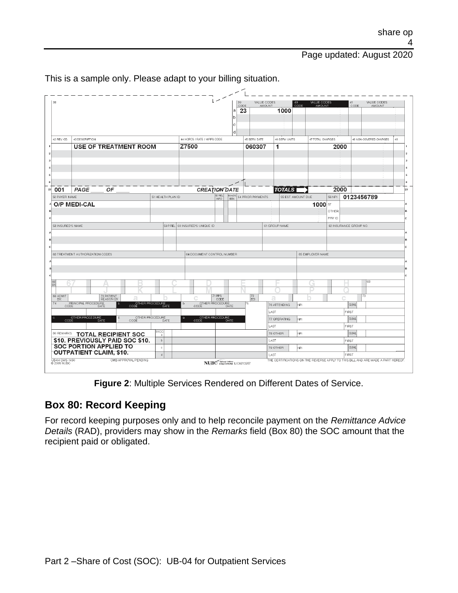Page updated: August 2020

| 38                            |                                  |                                                                  |                              |                              |                                                 | 39<br>CODE |                   | VALUE CODES    | 40<br>ALUE CODES<br>CODE<br>AMOUNT                                               |        | 41                     | VALUE CODES<br><b>AMOUNT</b> |    |
|-------------------------------|----------------------------------|------------------------------------------------------------------|------------------------------|------------------------------|-------------------------------------------------|------------|-------------------|----------------|----------------------------------------------------------------------------------|--------|------------------------|------------------------------|----|
|                               |                                  |                                                                  |                              |                              |                                                 | 23<br>a    |                   | AMOUNT<br>1000 |                                                                                  |        | CODE                   |                              |    |
|                               |                                  |                                                                  |                              |                              |                                                 | h          |                   |                |                                                                                  |        |                        |                              |    |
|                               |                                  |                                                                  |                              |                              |                                                 | C          |                   |                |                                                                                  |        |                        |                              |    |
|                               |                                  |                                                                  |                              |                              |                                                 | đ          |                   |                |                                                                                  |        |                        |                              |    |
| 42 REV. CD.                   | 43 DESCRIPTION                   |                                                                  |                              | 44 HCPCS / RATE / HIPPS CODE |                                                 |            | 45 SERV. DATE     | 46 SERV. UNITS | 47 TOTAL CHARGES                                                                 |        |                        | 48 NON-COVERED CHARGES       | 49 |
|                               |                                  | <b>USE OF TREATMENT ROOM</b>                                     |                              | Z7500                        |                                                 |            | 060307            | 1              |                                                                                  | 2000   |                        |                              |    |
|                               |                                  |                                                                  |                              |                              |                                                 |            |                   |                |                                                                                  |        |                        |                              |    |
|                               |                                  |                                                                  |                              |                              |                                                 |            |                   |                |                                                                                  |        |                        |                              |    |
|                               |                                  |                                                                  |                              |                              |                                                 |            |                   |                |                                                                                  |        |                        |                              |    |
|                               |                                  |                                                                  |                              |                              |                                                 |            |                   |                |                                                                                  |        |                        |                              |    |
|                               |                                  |                                                                  |                              |                              |                                                 |            |                   |                |                                                                                  |        |                        |                              |    |
| 001                           | PAGE                             | OF                                                               |                              |                              | <b>CREATION DATE</b><br>62 REL                  | 53 ASG.    |                   | <b>TOTALS</b>  |                                                                                  | 2000   |                        |                              | 23 |
| 50 PAYER NAME                 |                                  |                                                                  | 51 HEALTH PLAN ID            |                              | <b>INFO</b>                                     | BEN.       | 54 PRIOR PAYMENTS |                | 55 EST. AMOUNT DUE                                                               | 56 NPI | 0123456789             |                              |    |
|                               | O/P MEDI-CAL                     |                                                                  |                              |                              |                                                 |            |                   |                | $1000 =$                                                                         | OTHER  |                        |                              |    |
|                               |                                  |                                                                  |                              |                              |                                                 |            |                   |                |                                                                                  | PRV ID |                        |                              |    |
| 58 INSURED'S NAME             |                                  |                                                                  | 59 P. FEL                    | 60 INSURED'S UNIQUE ID       |                                                 |            |                   | 61 GROUP NAME  |                                                                                  |        | 62 INSURANCE GROUP NO. |                              |    |
|                               |                                  |                                                                  |                              |                              |                                                 |            |                   |                |                                                                                  |        |                        |                              |    |
|                               |                                  |                                                                  |                              |                              |                                                 |            |                   |                |                                                                                  |        |                        |                              |    |
|                               |                                  |                                                                  |                              |                              |                                                 |            |                   |                |                                                                                  |        |                        |                              |    |
|                               | 63 TREATMENT AUTHORIZATION CODES |                                                                  |                              | 64 DOCUMENT CONTROL NUMBER   |                                                 |            |                   |                | 65 EMPLOYER NAME                                                                 |        |                        |                              |    |
|                               |                                  |                                                                  |                              |                              |                                                 |            |                   |                |                                                                                  |        |                        |                              |    |
|                               |                                  |                                                                  |                              |                              |                                                 |            |                   |                |                                                                                  |        |                        |                              |    |
|                               |                                  |                                                                  |                              |                              |                                                 |            |                   |                |                                                                                  |        |                        |                              |    |
| 66<br>DX                      |                                  |                                                                  |                              |                              |                                                 |            |                   |                |                                                                                  |        |                        | 68                           |    |
|                               |                                  |                                                                  |                              |                              |                                                 |            |                   |                |                                                                                  |        |                        |                              |    |
| 69 ADMIT<br>DX.               |                                  | 70 PATIENT<br>REASON DX                                          |                              |                              | 71 PPS<br>CODE                                  |            | 72<br>ECI         | а              |                                                                                  |        |                        | 73                           |    |
| 74                            | PRINCIPAL PROCEDURE              | DATE                                                             | OTHER PROCEDURE<br>CODE DATE | b.                           | OTHER PROCEDURE<br>CODE DATE                    |            | 75                | 76 ATTENDING   | NPI.                                                                             |        | <b>QUAL</b>            |                              |    |
|                               |                                  |                                                                  |                              |                              |                                                 |            |                   | LAST           |                                                                                  |        | FIRST                  |                              |    |
|                               | OTHER PROCEDURE<br>CODE DATE     | OTHER PROCEDURE<br>CODE DA<br>d.                                 | DATE                         | ė.                           | OTHER PROCEDURE<br>CODE DATE                    |            |                   | 77 OPERATING   | NPI                                                                              |        | <b>QUAL</b>            |                              |    |
|                               |                                  |                                                                  | 81CC                         |                              |                                                 |            |                   | LAST           |                                                                                  |        | FIRST                  |                              |    |
|                               |                                  | BO REMARKS <b>TOTAL RECIPIENT SOC</b>                            | a                            |                              |                                                 |            |                   | 78 OTHER       | NPI                                                                              |        | <b>QUAL</b>            |                              |    |
|                               |                                  | \$10. PREVIOUSLY PAID SOC \$10.<br><b>SOC PORTION APPLIED TO</b> | $\mathfrak b$                |                              |                                                 |            |                   | LAST           |                                                                                  |        | FIRST                  |                              |    |
|                               |                                  | <b>OUTPATIENT CLAIM, \$10.</b>                                   | $\ddot{\text{c}}$            |                              |                                                 |            |                   | 79 OTHER       | NPI.                                                                             |        | <b>QUAL</b>            |                              |    |
|                               |                                  | OMB APPROVAL PENDING                                             | $\mathbf d$                  |                              |                                                 |            |                   | LAST           | THE CERTIFICATIONS ON THE REVERSE APPLY TO THIS BILL AND ARE MADE A PART HEREOF. |        | FIRST                  |                              |    |
| UB-04 CMS-1450<br>© 2005 NUBC |                                  |                                                                  |                              |                              | NUBC <sup>"</sup> National Uniorm<br>LIC9213257 |            |                   |                |                                                                                  |        |                        |                              |    |

This is a sample only. Please adapt to your billing situation.

**Figure 2**: Multiple Services Rendered on Different Dates of Service.

#### **Box 80: Record Keeping**

For record keeping purposes only and to help reconcile payment on the *Remittance Advice Details* (RAD), providers may show in the *Remarks* field (Box 80) the SOC amount that the recipient paid or obligated.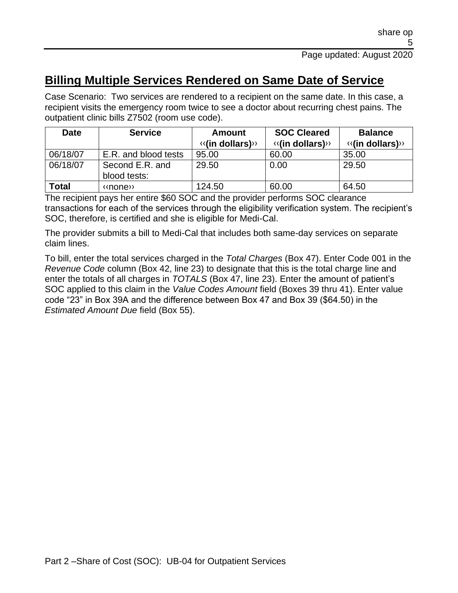### **Billing Multiple Services Rendered on Same Date of Service**

Case Scenario: Two services are rendered to a recipient on the same date. In this case, a recipient visits the emergency room twice to see a doctor about recurring chest pains. The outpatient clinic bills Z7502 (room use code).

| <b>Date</b>                                 | <b>Service</b>       |                                          | <b>SOC Cleared</b>                       | <b>Balance</b>                           |  |
|---------------------------------------------|----------------------|------------------------------------------|------------------------------------------|------------------------------------------|--|
|                                             |                      | $\langle \langle$ (in dollars) $\rangle$ | $\langle \langle$ (in dollars) $\rangle$ | $\langle \langle$ (in dollars) $\rangle$ |  |
| 06/18/07                                    | E.R. and blood tests | 95.00                                    | 60.00                                    | 35.00                                    |  |
| 06/18/07<br>Second E.R. and<br>blood tests: |                      | 29.50                                    | 0.00                                     | 29.50                                    |  |
| <b>Total</b>                                | «none»               | 124.50                                   | 60.00                                    | 64.50                                    |  |

The recipient pays her entire \$60 SOC and the provider performs SOC clearance transactions for each of the services through the eligibility verification system. The recipient's SOC, therefore, is certified and she is eligible for Medi-Cal.

The provider submits a bill to Medi-Cal that includes both same-day services on separate claim lines.

To bill, enter the total services charged in the *Total Charges* (Box 47). Enter Code 001 in the *Revenue Code* column (Box 42, line 23) to designate that this is the total charge line and enter the totals of all charges in *TOTALS* (Box 47, line 23). Enter the amount of patient's SOC applied to this claim in the *Value Codes Amount* field (Boxes 39 thru 41). Enter value code "23" in Box 39A and the difference between Box 47 and Box 39 (\$64.50) in the *Estimated Amount Due* field (Box 55).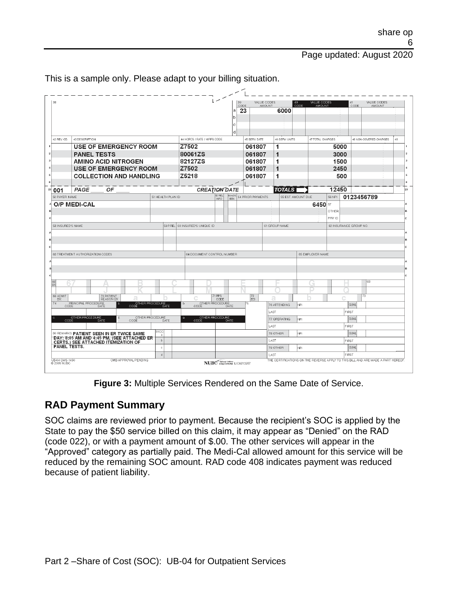Page updated: August 2020

| 38             |                                                                  |                                                                                   |                   |                                                 | 39                                                                      | VALUE CODES         | 40.<br>VALUE CODES |               | VALUE CODES<br>41                                                                |    |
|----------------|------------------------------------------------------------------|-----------------------------------------------------------------------------------|-------------------|-------------------------------------------------|-------------------------------------------------------------------------|---------------------|--------------------|---------------|----------------------------------------------------------------------------------|----|
|                |                                                                  |                                                                                   |                   |                                                 | CODE<br>23<br>a                                                         | AMOUNT<br>6000      | CODE<br>AMOUNT     |               | CODE<br><b>AMOUNT</b>                                                            |    |
|                |                                                                  |                                                                                   |                   |                                                 |                                                                         |                     |                    |               |                                                                                  |    |
|                |                                                                  |                                                                                   |                   |                                                 | с                                                                       |                     |                    |               |                                                                                  |    |
|                |                                                                  |                                                                                   |                   |                                                 | đ                                                                       |                     |                    |               |                                                                                  |    |
|                | 42 REV. CD.                                                      | 43 DESCRIPTION                                                                    |                   | 44 HCPCS / RATE / HIPPS CODE                    | 45 SERV. DATE                                                           | 46 SERV. UNITS      | 47 TOTAL CHARGES   |               | 48 NON-COVERED CHARGES                                                           | 49 |
|                |                                                                  | <b>USE OF EMERGENCY ROOM</b>                                                      |                   | Z7502                                           | 061807                                                                  | 1                   |                    | 5000          |                                                                                  |    |
| $\overline{2}$ |                                                                  | <b>PANEL TESTS</b>                                                                |                   | 80061ZS                                         | 061807                                                                  | 1                   |                    | 3000          |                                                                                  |    |
| 3              |                                                                  | <b>AMINO ACID NITROGEN</b>                                                        |                   | 82127ZS                                         | 061807                                                                  | 1                   |                    | 1500          |                                                                                  |    |
|                |                                                                  | <b>USE OF EMERGENCY ROOM</b>                                                      |                   | Z7502                                           | 061807                                                                  | 1                   |                    | 2450          |                                                                                  |    |
| 5              |                                                                  | <b>COLLECTION AND HANDLING</b>                                                    |                   | Z5218                                           | 061807                                                                  | 1                   |                    | 500           |                                                                                  | 5  |
| $\mathbf{z}$   |                                                                  | ОF<br>PAGE                                                                        |                   | <b>CREATION DATE</b>                            |                                                                         | <b>TOTALS</b>       |                    | 12450         |                                                                                  | 23 |
|                | 001<br>50 PAYER NAME                                             |                                                                                   | 51 HEALTH PLAN ID | 62 REL                                          | 53 ASG.<br><b>54 PRIOR PAYMENTS</b>                                     |                     | 55 EST. AMOUNT DUE | <b>56 NPI</b> | 0123456789                                                                       |    |
|                |                                                                  | O/P MEDI-CAL                                                                      |                   | INFO.                                           | BEN.                                                                    |                     | 6450 ਯ             |               |                                                                                  |    |
|                |                                                                  |                                                                                   |                   |                                                 |                                                                         |                     |                    | OTHER         |                                                                                  |    |
| c              |                                                                  |                                                                                   |                   |                                                 |                                                                         |                     |                    | PRV ID        |                                                                                  |    |
|                | 58 INSURED'S NAME                                                |                                                                                   | 59 P. FEL         | 60 INSURED'S UNIQUE ID                          |                                                                         | 61 GROUP NAME       |                    |               | 62 INSURANCE GROUP NO                                                            |    |
|                |                                                                  |                                                                                   |                   |                                                 |                                                                         |                     |                    |               |                                                                                  |    |
| R              |                                                                  |                                                                                   |                   |                                                 |                                                                         |                     |                    |               |                                                                                  |    |
| $\mathbf{C}$   |                                                                  |                                                                                   |                   |                                                 |                                                                         |                     |                    |               |                                                                                  |    |
|                |                                                                  | 63 TREATMENT AUTHORIZATION CODES                                                  |                   | 64 DOCUMENT CONTROL NUMBER                      |                                                                         |                     | 65 EMPLOYER NAME   |               |                                                                                  |    |
|                |                                                                  |                                                                                   |                   |                                                 |                                                                         |                     |                    |               |                                                                                  |    |
|                |                                                                  |                                                                                   |                   |                                                 |                                                                         |                     |                    |               |                                                                                  |    |
| c              |                                                                  |                                                                                   |                   |                                                 |                                                                         |                     |                    |               | 68                                                                               |    |
| $rac{66}{D}$   |                                                                  |                                                                                   |                   |                                                 |                                                                         |                     |                    |               |                                                                                  |    |
|                | 69 ADMIT                                                         | 70 PATIENT<br>REASON DX                                                           |                   | 71 PPS                                          | $\left  \begin{smallmatrix} 72 \\ \text{ECI} \end{smallmatrix} \right $ |                     |                    |               | 73                                                                               |    |
| 74             | DX.                                                              | PRINCIPAL PROCEDURE<br>OTHER PROCEDURE<br>CODE DATE                               |                   | CODE<br>OTHER PROCEDURE<br>b.                   | 75                                                                      | а<br>76 ATTENDING   | NPI                |               | QUAL                                                                             |    |
|                | CODE                                                             | DATE                                                                              |                   | CODE                                            | <b>DATE</b>                                                             | LAST                |                    |               | <b>FIRST</b>                                                                     |    |
|                | OTHER PROCEDURE<br>OTHER PROCEDURE<br>H.<br>DATE<br>CODE<br>DATE |                                                                                   |                   | OTHER PROCEDURE<br>e.                           |                                                                         | 77 OPERATING<br>NPI |                    | <b>QUAL</b>   |                                                                                  |    |
|                |                                                                  |                                                                                   |                   |                                                 | <b>DATE</b>                                                             | <b>LAST</b>         | <b>FIRST</b>       |               |                                                                                  |    |
|                |                                                                  | 80 REMARKS PATIENT SEEN IN ER TWICE SAME                                          | 81CC<br>-a        |                                                 |                                                                         | 78 OTHER            | NPI.               |               | <b>QUAL</b>                                                                      |    |
|                |                                                                  | DAY: 8:05 AM AND 4:45 PM. (SEE ATTACHED ER<br>CERTS.) SEE ATTACHED ITEMIZATION OF | $\mathfrak b$     |                                                 |                                                                         | LAST                |                    |               | FIRST                                                                            |    |
|                | PANEL TESTS.                                                     |                                                                                   | $\ddot{\text{c}}$ |                                                 |                                                                         | 79 OTHER            | NPI.               |               | <b>QUAL</b>                                                                      |    |
|                |                                                                  |                                                                                   | d                 |                                                 |                                                                         | LAST                |                    |               | FIRST                                                                            |    |
|                | UB-04 CMS-1450<br>© 2005 NUBC                                    | OMB APPROVAL PENDING                                                              |                   | NUBC <sup>"</sup> National Unitem<br>LIC9213257 |                                                                         |                     |                    |               | THE CERTIFICATIONS ON THE REVERSE APPLY TO THIS BILL AND ARE MADE A PART HEREOF. |    |

This is a sample only. Please adapt to your billing situation.

**Figure 3:** Multiple Services Rendered on the Same Date of Service.

#### **RAD Payment Summary**

SOC claims are reviewed prior to payment. Because the recipient's SOC is applied by the State to pay the \$50 service billed on this claim, it may appear as "Denied" on the RAD (code 022), or with a payment amount of \$.00. The other services will appear in the "Approved" category as partially paid. The Medi-Cal allowed amount for this service will be reduced by the remaining SOC amount. RAD code 408 indicates payment was reduced because of patient liability.